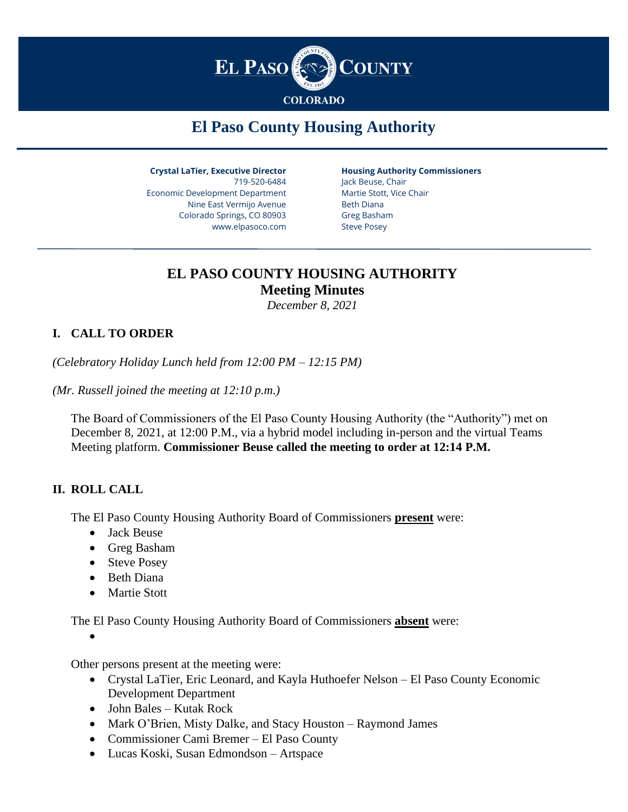

# **El Paso County Housing Authority**

**Crystal LaTier, Executive Director** 719-520-6484 Economic Development Department Nine East Vermijo Avenue Colorado Springs, CO 80903 www.elpasoco.com

**Housing Authority Commissioners**

Jack Beuse, Chair Martie Stott, Vice Chair Beth Diana Greg Basham Steve Posey

# **EL PASO COUNTY HOUSING AUTHORITY Meeting Minutes**

*December 8, 2021*

# **I. CALL TO ORDER**

*(Celebratory Holiday Lunch held from 12:00 PM – 12:15 PM)*

*(Mr. Russell joined the meeting at 12:10 p.m.)*

The Board of Commissioners of the El Paso County Housing Authority (the "Authority") met on December 8, 2021, at 12:00 P.M., via a hybrid model including in-person and the virtual Teams Meeting platform. **Commissioner Beuse called the meeting to order at 12:14 P.M.**

#### **II. ROLL CALL**

The El Paso County Housing Authority Board of Commissioners **present** were:

- Jack Beuse
- Greg Basham
- Steve Posey
- Beth Diana
- Martie Stott

The El Paso County Housing Authority Board of Commissioners **absent** were:

•

Other persons present at the meeting were:

- Crystal LaTier, Eric Leonard, and Kayla Huthoefer Nelson El Paso County Economic Development Department
- John Bales Kutak Rock
- Mark O'Brien, Misty Dalke, and Stacy Houston Raymond James
- Commissioner Cami Bremer El Paso County
- Lucas Koski, Susan Edmondson Artspace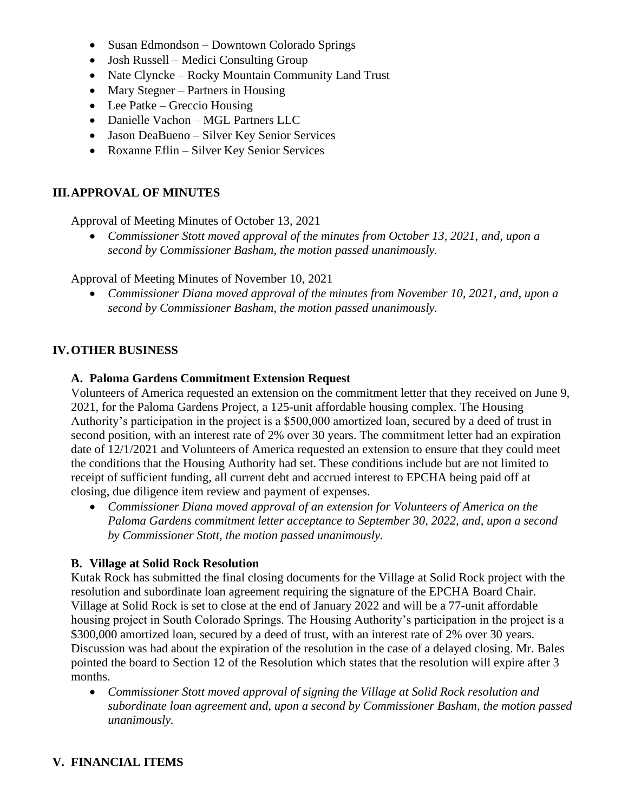- Susan Edmondson Downtown Colorado Springs
- Josh Russell Medici Consulting Group
- Nate Clyncke Rocky Mountain Community Land Trust
- Mary Stegner Partners in Housing
- Lee Patke Greccio Housing
- Danielle Vachon MGL Partners LLC
- Jason DeaBueno Silver Key Senior Services
- Roxanne Eflin Silver Key Senior Services

#### **III.APPROVAL OF MINUTES**

Approval of Meeting Minutes of October 13, 2021

• *Commissioner Stott moved approval of the minutes from October 13, 2021, and, upon a second by Commissioner Basham, the motion passed unanimously.* 

Approval of Meeting Minutes of November 10, 2021

• *Commissioner Diana moved approval of the minutes from November 10, 2021, and, upon a second by Commissioner Basham, the motion passed unanimously.*

#### **IV.OTHER BUSINESS**

#### **A. Paloma Gardens Commitment Extension Request**

Volunteers of America requested an extension on the commitment letter that they received on June 9, 2021, for the Paloma Gardens Project, a 125-unit affordable housing complex. The Housing Authority's participation in the project is a \$500,000 amortized loan, secured by a deed of trust in second position, with an interest rate of 2% over 30 years. The commitment letter had an expiration date of 12/1/2021 and Volunteers of America requested an extension to ensure that they could meet the conditions that the Housing Authority had set. These conditions include but are not limited to receipt of sufficient funding, all current debt and accrued interest to EPCHA being paid off at closing, due diligence item review and payment of expenses.

• *Commissioner Diana moved approval of an extension for Volunteers of America on the Paloma Gardens commitment letter acceptance to September 30, 2022, and, upon a second by Commissioner Stott, the motion passed unanimously.*

#### **B. Village at Solid Rock Resolution**

Kutak Rock has submitted the final closing documents for the Village at Solid Rock project with the resolution and subordinate loan agreement requiring the signature of the EPCHA Board Chair. Village at Solid Rock is set to close at the end of January 2022 and will be a 77-unit affordable housing project in South Colorado Springs. The Housing Authority's participation in the project is a \$300,000 amortized loan, secured by a deed of trust, with an interest rate of 2% over 30 years. Discussion was had about the expiration of the resolution in the case of a delayed closing. Mr. Bales pointed the board to Section 12 of the Resolution which states that the resolution will expire after 3 months.

• *Commissioner Stott moved approval of signing the Village at Solid Rock resolution and subordinate loan agreement and, upon a second by Commissioner Basham, the motion passed unanimously.*

# **V. FINANCIAL ITEMS**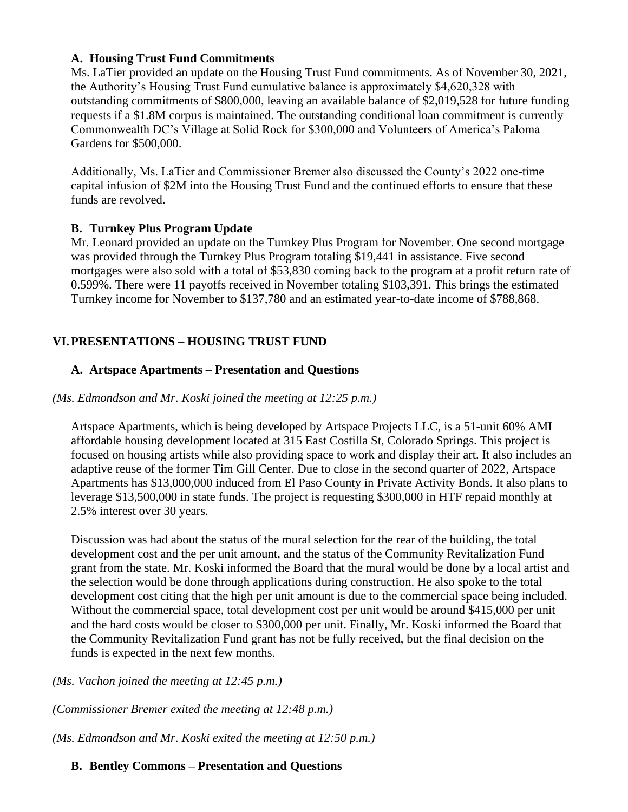#### **A. Housing Trust Fund Commitments**

Ms. LaTier provided an update on the Housing Trust Fund commitments. As of November 30, 2021, the Authority's Housing Trust Fund cumulative balance is approximately \$4,620,328 with outstanding commitments of \$800,000, leaving an available balance of \$2,019,528 for future funding requests if a \$1.8M corpus is maintained. The outstanding conditional loan commitment is currently Commonwealth DC's Village at Solid Rock for \$300,000 and Volunteers of America's Paloma Gardens for \$500,000.

Additionally, Ms. LaTier and Commissioner Bremer also discussed the County's 2022 one-time capital infusion of \$2M into the Housing Trust Fund and the continued efforts to ensure that these funds are revolved.

#### **B. Turnkey Plus Program Update**

Mr. Leonard provided an update on the Turnkey Plus Program for November. One second mortgage was provided through the Turnkey Plus Program totaling \$19,441 in assistance. Five second mortgages were also sold with a total of \$53,830 coming back to the program at a profit return rate of 0.599%. There were 11 payoffs received in November totaling \$103,391. This brings the estimated Turnkey income for November to \$137,780 and an estimated year-to-date income of \$788,868.

#### **VI.PRESENTATIONS – HOUSING TRUST FUND**

#### **A. Artspace Apartments – Presentation and Questions**

#### *(Ms. Edmondson and Mr. Koski joined the meeting at 12:25 p.m.)*

Artspace Apartments, which is being developed by Artspace Projects LLC, is a 51-unit 60% AMI affordable housing development located at 315 East Costilla St, Colorado Springs. This project is focused on housing artists while also providing space to work and display their art. It also includes an adaptive reuse of the former Tim Gill Center. Due to close in the second quarter of 2022, Artspace Apartments has \$13,000,000 induced from El Paso County in Private Activity Bonds. It also plans to leverage \$13,500,000 in state funds. The project is requesting \$300,000 in HTF repaid monthly at 2.5% interest over 30 years.

Discussion was had about the status of the mural selection for the rear of the building, the total development cost and the per unit amount, and the status of the Community Revitalization Fund grant from the state. Mr. Koski informed the Board that the mural would be done by a local artist and the selection would be done through applications during construction. He also spoke to the total development cost citing that the high per unit amount is due to the commercial space being included. Without the commercial space, total development cost per unit would be around \$415,000 per unit and the hard costs would be closer to \$300,000 per unit. Finally, Mr. Koski informed the Board that the Community Revitalization Fund grant has not be fully received, but the final decision on the funds is expected in the next few months.

*(Ms. Vachon joined the meeting at 12:45 p.m.)*

*(Commissioner Bremer exited the meeting at 12:48 p.m.)*

*(Ms. Edmondson and Mr. Koski exited the meeting at 12:50 p.m.)*

#### **B. Bentley Commons – Presentation and Questions**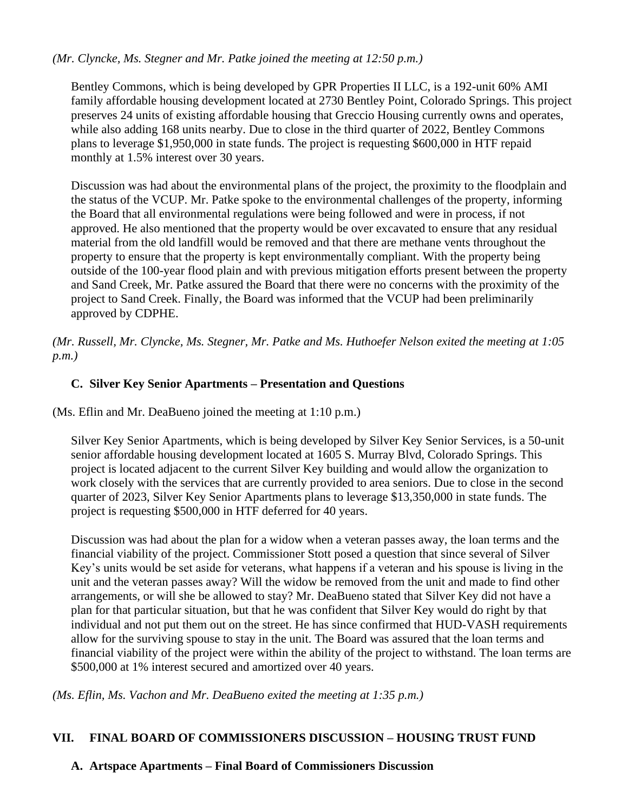#### *(Mr. Clyncke, Ms. Stegner and Mr. Patke joined the meeting at 12:50 p.m.)*

Bentley Commons, which is being developed by GPR Properties II LLC, is a 192-unit 60% AMI family affordable housing development located at 2730 Bentley Point, Colorado Springs. This project preserves 24 units of existing affordable housing that Greccio Housing currently owns and operates, while also adding 168 units nearby. Due to close in the third quarter of 2022, Bentley Commons plans to leverage \$1,950,000 in state funds. The project is requesting \$600,000 in HTF repaid monthly at 1.5% interest over 30 years.

Discussion was had about the environmental plans of the project, the proximity to the floodplain and the status of the VCUP. Mr. Patke spoke to the environmental challenges of the property, informing the Board that all environmental regulations were being followed and were in process, if not approved. He also mentioned that the property would be over excavated to ensure that any residual material from the old landfill would be removed and that there are methane vents throughout the property to ensure that the property is kept environmentally compliant. With the property being outside of the 100-year flood plain and with previous mitigation efforts present between the property and Sand Creek, Mr. Patke assured the Board that there were no concerns with the proximity of the project to Sand Creek. Finally, the Board was informed that the VCUP had been preliminarily approved by CDPHE.

*(Mr. Russell, Mr. Clyncke, Ms. Stegner, Mr. Patke and Ms. Huthoefer Nelson exited the meeting at 1:05 p.m.)*

#### **C. Silver Key Senior Apartments – Presentation and Questions**

(Ms. Eflin and Mr. DeaBueno joined the meeting at 1:10 p.m.)

Silver Key Senior Apartments, which is being developed by Silver Key Senior Services, is a 50-unit senior affordable housing development located at 1605 S. Murray Blvd, Colorado Springs. This project is located adjacent to the current Silver Key building and would allow the organization to work closely with the services that are currently provided to area seniors. Due to close in the second quarter of 2023, Silver Key Senior Apartments plans to leverage \$13,350,000 in state funds. The project is requesting \$500,000 in HTF deferred for 40 years.

Discussion was had about the plan for a widow when a veteran passes away, the loan terms and the financial viability of the project. Commissioner Stott posed a question that since several of Silver Key's units would be set aside for veterans, what happens if a veteran and his spouse is living in the unit and the veteran passes away? Will the widow be removed from the unit and made to find other arrangements, or will she be allowed to stay? Mr. DeaBueno stated that Silver Key did not have a plan for that particular situation, but that he was confident that Silver Key would do right by that individual and not put them out on the street. He has since confirmed that HUD-VASH requirements allow for the surviving spouse to stay in the unit. The Board was assured that the loan terms and financial viability of the project were within the ability of the project to withstand. The loan terms are \$500,000 at 1% interest secured and amortized over 40 years.

*(Ms. Eflin, Ms. Vachon and Mr. DeaBueno exited the meeting at 1:35 p.m.)*

#### **VII. FINAL BOARD OF COMMISSIONERS DISCUSSION – HOUSING TRUST FUND**

# **A. Artspace Apartments – Final Board of Commissioners Discussion**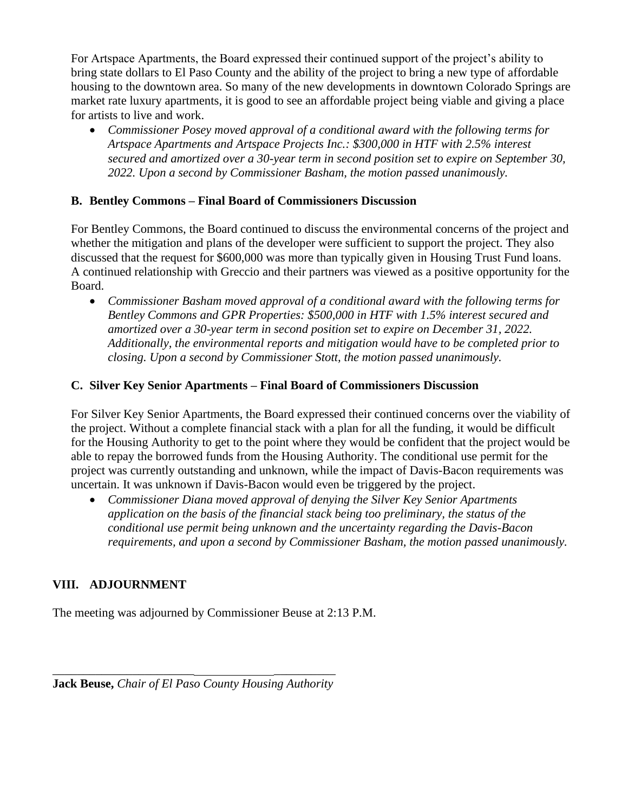For Artspace Apartments, the Board expressed their continued support of the project's ability to bring state dollars to El Paso County and the ability of the project to bring a new type of affordable housing to the downtown area. So many of the new developments in downtown Colorado Springs are market rate luxury apartments, it is good to see an affordable project being viable and giving a place for artists to live and work.

• *Commissioner Posey moved approval of a conditional award with the following terms for Artspace Apartments and Artspace Projects Inc.: \$300,000 in HTF with 2.5% interest secured and amortized over a 30-year term in second position set to expire on September 30, 2022. Upon a second by Commissioner Basham, the motion passed unanimously.*

#### **B. Bentley Commons – Final Board of Commissioners Discussion**

For Bentley Commons, the Board continued to discuss the environmental concerns of the project and whether the mitigation and plans of the developer were sufficient to support the project. They also discussed that the request for \$600,000 was more than typically given in Housing Trust Fund loans. A continued relationship with Greccio and their partners was viewed as a positive opportunity for the Board.

• *Commissioner Basham moved approval of a conditional award with the following terms for Bentley Commons and GPR Properties: \$500,000 in HTF with 1.5% interest secured and amortized over a 30-year term in second position set to expire on December 31, 2022. Additionally, the environmental reports and mitigation would have to be completed prior to closing. Upon a second by Commissioner Stott, the motion passed unanimously.*

#### **C. Silver Key Senior Apartments – Final Board of Commissioners Discussion**

For Silver Key Senior Apartments, the Board expressed their continued concerns over the viability of the project. Without a complete financial stack with a plan for all the funding, it would be difficult for the Housing Authority to get to the point where they would be confident that the project would be able to repay the borrowed funds from the Housing Authority. The conditional use permit for the project was currently outstanding and unknown, while the impact of Davis-Bacon requirements was uncertain. It was unknown if Davis-Bacon would even be triggered by the project.

• *Commissioner Diana moved approval of denying the Silver Key Senior Apartments application on the basis of the financial stack being too preliminary, the status of the conditional use permit being unknown and the uncertainty regarding the Davis-Bacon requirements, and upon a second by Commissioner Basham, the motion passed unanimously.* 

# **VIII. ADJOURNMENT**

The meeting was adjourned by Commissioner Beuse at 2:13 P.M.